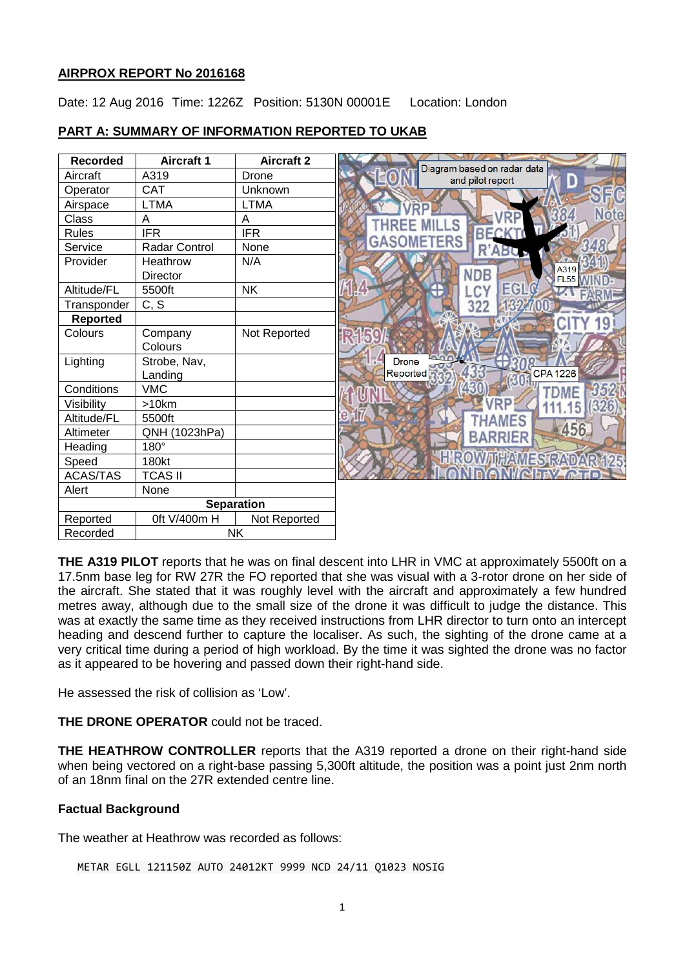## **AIRPROX REPORT No 2016168**

Date: 12 Aug 2016 Time: 1226Z Position: 5130N 00001E Location: London

# **PART A: SUMMARY OF INFORMATION REPORTED TO UKAB**

| <b>Recorded</b>   | <b>Aircraft 1</b>    | <b>Aircraft 2</b> |                                                      |
|-------------------|----------------------|-------------------|------------------------------------------------------|
| Aircraft          | A319                 | Drone             | Diagram based on radar data<br>D<br>and pilot report |
| Operator          | <b>CAT</b>           | Unknown           |                                                      |
| Airspace          | <b>LTMA</b>          | <b>LTMA</b>       |                                                      |
| Class             | A                    | A                 | Note                                                 |
| <b>Rules</b>      | <b>IFR</b>           | <b>IFR</b>        | BECK                                                 |
| Service           | <b>Radar Control</b> | None              | GASOMETERS<br>R'ABU                                  |
| Provider          | Heathrow             | N/A               | A319                                                 |
|                   | Director             |                   | <b>NDB</b><br><b>FL55</b>                            |
| Altitude/FL       | 5500ft               | <b>NK</b>         | EGI                                                  |
| Transponder       | C, S                 |                   | 322                                                  |
| <b>Reported</b>   |                      |                   |                                                      |
| Colours           | Company              | Not Reported      |                                                      |
|                   | Colours              |                   |                                                      |
| Lighting          | Strobe, Nav,         |                   | <b>Drone</b>                                         |
|                   | Landing              |                   | <b>CPA 1226</b><br>Reported                          |
| Conditions        | <b>VMC</b>           |                   | 35                                                   |
| Visibility        | >10km                |                   | 326                                                  |
| Altitude/FL       | 5500ft               |                   | <b>MES</b>                                           |
| Altimeter         | QNH (1023hPa)        |                   | 456<br><b>BARRIER</b>                                |
| Heading           | $180^\circ$          |                   |                                                      |
| Speed             | <b>180kt</b>         |                   | <b>HIROWITHAMES RADAR 125</b>                        |
| ACAS/TAS          | <b>TCAS II</b>       |                   |                                                      |
| Alert             | None                 |                   |                                                      |
| <b>Separation</b> |                      |                   |                                                      |
| Reported          | 0ft V/400m H         | Not Reported      |                                                      |
| Recorded          | <b>NK</b>            |                   |                                                      |

**THE A319 PILOT** reports that he was on final descent into LHR in VMC at approximately 5500ft on a 17.5nm base leg for RW 27R the FO reported that she was visual with a 3-rotor drone on her side of the aircraft. She stated that it was roughly level with the aircraft and approximately a few hundred metres away, although due to the small size of the drone it was difficult to judge the distance. This was at exactly the same time as they received instructions from LHR director to turn onto an intercept heading and descend further to capture the localiser. As such, the sighting of the drone came at a very critical time during a period of high workload. By the time it was sighted the drone was no factor as it appeared to be hovering and passed down their right-hand side.

He assessed the risk of collision as 'Low'.

**THE DRONE OPERATOR** could not be traced.

**THE HEATHROW CONTROLLER** reports that the A319 reported a drone on their right-hand side when being vectored on a right-base passing 5,300ft altitude, the position was a point just 2nm north of an 18nm final on the 27R extended centre line.

# **Factual Background**

The weather at Heathrow was recorded as follows:

METAR EGLL 121150Z AUTO 24012KT 9999 NCD 24/11 Q1023 NOSIG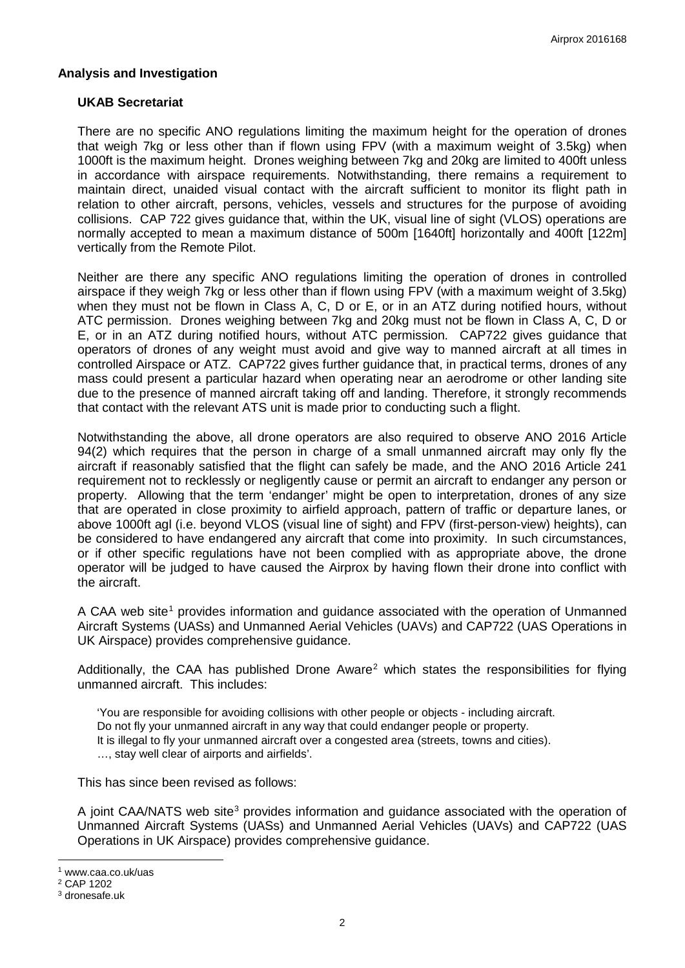### **Analysis and Investigation**

#### **UKAB Secretariat**

There are no specific ANO regulations limiting the maximum height for the operation of drones that weigh 7kg or less other than if flown using FPV (with a maximum weight of 3.5kg) when 1000ft is the maximum height. Drones weighing between 7kg and 20kg are limited to 400ft unless in accordance with airspace requirements. Notwithstanding, there remains a requirement to maintain direct, unaided visual contact with the aircraft sufficient to monitor its flight path in relation to other aircraft, persons, vehicles, vessels and structures for the purpose of avoiding collisions. CAP 722 gives guidance that, within the UK, visual line of sight (VLOS) operations are normally accepted to mean a maximum distance of 500m [1640ft] horizontally and 400ft [122m] vertically from the Remote Pilot.

Neither are there any specific ANO regulations limiting the operation of drones in controlled airspace if they weigh 7kg or less other than if flown using FPV (with a maximum weight of 3.5kg) when they must not be flown in Class A, C, D or E, or in an ATZ during notified hours, without ATC permission. Drones weighing between 7kg and 20kg must not be flown in Class A, C, D or E, or in an ATZ during notified hours, without ATC permission. CAP722 gives guidance that operators of drones of any weight must avoid and give way to manned aircraft at all times in controlled Airspace or ATZ. CAP722 gives further guidance that, in practical terms, drones of any mass could present a particular hazard when operating near an aerodrome or other landing site due to the presence of manned aircraft taking off and landing. Therefore, it strongly recommends that contact with the relevant ATS unit is made prior to conducting such a flight.

Notwithstanding the above, all drone operators are also required to observe ANO 2016 Article 94(2) which requires that the person in charge of a small unmanned aircraft may only fly the aircraft if reasonably satisfied that the flight can safely be made, and the ANO 2016 Article 241 requirement not to recklessly or negligently cause or permit an aircraft to endanger any person or property. Allowing that the term 'endanger' might be open to interpretation, drones of any size that are operated in close proximity to airfield approach, pattern of traffic or departure lanes, or above 1000ft agl (i.e. beyond VLOS (visual line of sight) and FPV (first-person-view) heights), can be considered to have endangered any aircraft that come into proximity. In such circumstances, or if other specific regulations have not been complied with as appropriate above, the drone operator will be judged to have caused the Airprox by having flown their drone into conflict with the aircraft.

A CAA web site<sup>[1](#page-1-0)</sup> provides information and guidance associated with the operation of Unmanned Aircraft Systems (UASs) and Unmanned Aerial Vehicles (UAVs) and CAP722 (UAS Operations in UK Airspace) provides comprehensive guidance.

Additionally, the CAA has published Drone Aware<sup>[2](#page-1-1)</sup> which states the responsibilities for flying unmanned aircraft. This includes:

'You are responsible for avoiding collisions with other people or objects - including aircraft. Do not fly your unmanned aircraft in any way that could endanger people or property. It is illegal to fly your unmanned aircraft over a congested area (streets, towns and cities). …, stay well clear of airports and airfields'.

This has since been revised as follows:

A joint CAA/NATS web site<sup>[3](#page-1-2)</sup> provides information and quidance associated with the operation of Unmanned Aircraft Systems (UASs) and Unmanned Aerial Vehicles (UAVs) and CAP722 (UAS Operations in UK Airspace) provides comprehensive guidance.

 $\overline{\phantom{a}}$ 

<span id="page-1-0"></span><sup>1</sup> www.caa.co.uk/uas

<span id="page-1-1"></span><sup>2</sup> CAP 1202

<span id="page-1-2"></span><sup>3</sup> dronesafe.uk